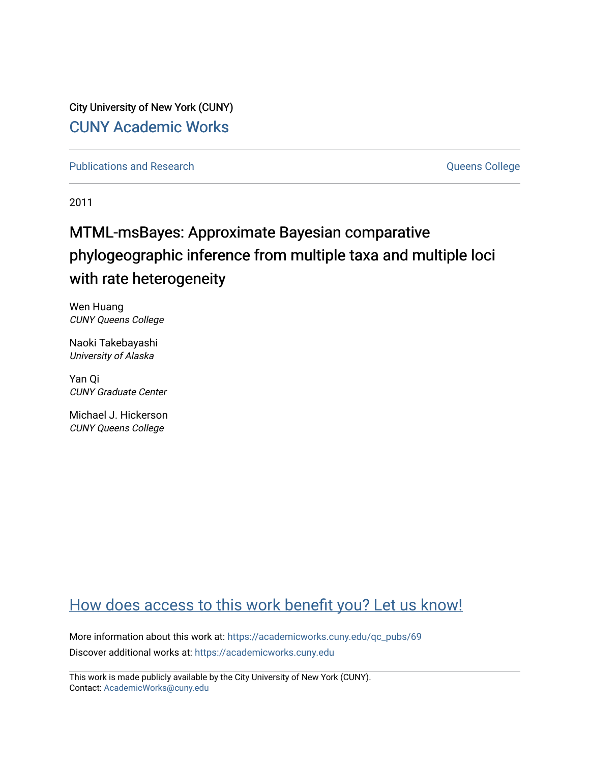City University of New York (CUNY) [CUNY Academic Works](https://academicworks.cuny.edu/) 

[Publications and Research](https://academicworks.cuny.edu/qc_pubs) **College** College and Theorem and Theorem and Theorem and Theorem and Theorem and Theorem and Theorem and Theorem and Theorem and Theorem and Theorem and Theorem and Theorem and Theorem and Theore

2011

# MTML-msBayes: Approximate Bayesian comparative phylogeographic inference from multiple taxa and multiple loci with rate heterogeneity

Wen Huang CUNY Queens College

Naoki Takebayashi University of Alaska

Yan Qi CUNY Graduate Center

Michael J. Hickerson CUNY Queens College

# [How does access to this work benefit you? Let us know!](http://ols.cuny.edu/academicworks/?ref=https://academicworks.cuny.edu/qc_pubs/69)

More information about this work at: [https://academicworks.cuny.edu/qc\\_pubs/69](https://academicworks.cuny.edu/qc_pubs/69)  Discover additional works at: [https://academicworks.cuny.edu](https://academicworks.cuny.edu/?)

This work is made publicly available by the City University of New York (CUNY). Contact: [AcademicWorks@cuny.edu](mailto:AcademicWorks@cuny.edu)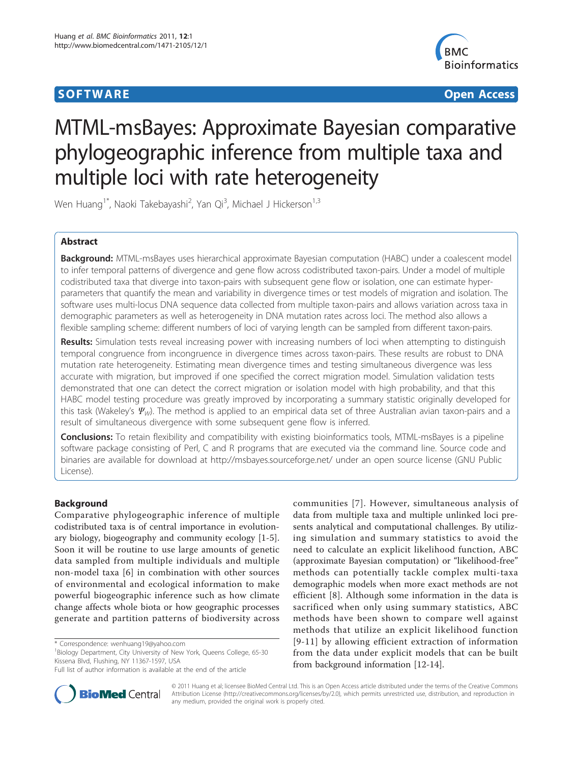# **SOFTWARE SOFTWARE** *CONSERVERSE EXECUTIVE EXECUTIVE EXECUTIVE EXECUTIVE EXECUTIVE EXECUTIVE EXECUTIVE EXECUTIVE EXECUTIVE EXECUTIVE EXECUTIVE EXECUTIVE EXECUTIVE EXECUTIVE EXECUTIVE EXECUTIVE EXECUTIVE EXECUTIVE EXECUT*



# MTML-msBayes: Approximate Bayesian comparative phylogeographic inference from multiple taxa and multiple loci with rate heterogeneity

Wen Huang<sup>1\*</sup>, Naoki Takebayashi<sup>2</sup>, Yan Qi<sup>3</sup>, Michael J Hickerson<sup>1,3</sup>

# Abstract

Background: MTML-msBayes uses hierarchical approximate Bayesian computation (HABC) under a coalescent model to infer temporal patterns of divergence and gene flow across codistributed taxon-pairs. Under a model of multiple codistributed taxa that diverge into taxon-pairs with subsequent gene flow or isolation, one can estimate hyperparameters that quantify the mean and variability in divergence times or test models of migration and isolation. The software uses multi-locus DNA sequence data collected from multiple taxon-pairs and allows variation across taxa in demographic parameters as well as heterogeneity in DNA mutation rates across loci. The method also allows a flexible sampling scheme: different numbers of loci of varying length can be sampled from different taxon-pairs.

Results: Simulation tests reveal increasing power with increasing numbers of loci when attempting to distinguish temporal congruence from incongruence in divergence times across taxon-pairs. These results are robust to DNA mutation rate heterogeneity. Estimating mean divergence times and testing simultaneous divergence was less accurate with migration, but improved if one specified the correct migration model. Simulation validation tests demonstrated that one can detect the correct migration or isolation model with high probability, and that this HABC model testing procedure was greatly improved by incorporating a summary statistic originally developed for this task (Wakeley's  $\Psi_{W}$ ). The method is applied to an empirical data set of three Australian avian taxon-pairs and a result of simultaneous divergence with some subsequent gene flow is inferred.

**Conclusions:** To retain flexibility and compatibility with existing bioinformatics tools, MTML-msBayes is a pipeline software package consisting of Perl, C and R programs that are executed via the command line. Source code and binaries are available for download at<http://msbayes.sourceforge.net/> under an open source license (GNU Public License).

# Background

Comparative phylogeographic inference of multiple codistributed taxa is of central importance in evolutionary biology, biogeography and community ecology [[1-](#page-12-0)[5](#page-13-0)]. Soon it will be routine to use large amounts of genetic data sampled from multiple individuals and multiple non-model taxa [[6\]](#page-13-0) in combination with other sources of environmental and ecological information to make powerful biogeographic inference such as how climate change affects whole biota or how geographic processes generate and partition patterns of biodiversity across

Full list of author information is available at the end of the article





© 2011 Huang et al; licensee BioMed Central Ltd. This is an Open Access article distributed under the terms of the Creative Commons Attribution License [\(http://creativecommons.org/licenses/by/2.0](http://creativecommons.org/licenses/by/2.0)), which permits unrestricted use, distribution, and reproduction in any medium, provided the original work is properly cited.

<sup>\*</sup> Correspondence: [wenhuang19@yahoo.com](mailto:wenhuang19@yahoo.com)

<sup>&</sup>lt;sup>1</sup> Biology Department, City University of New York, Queens College, 65-30 Kissena Blvd, Flushing, NY 11367-1597, USA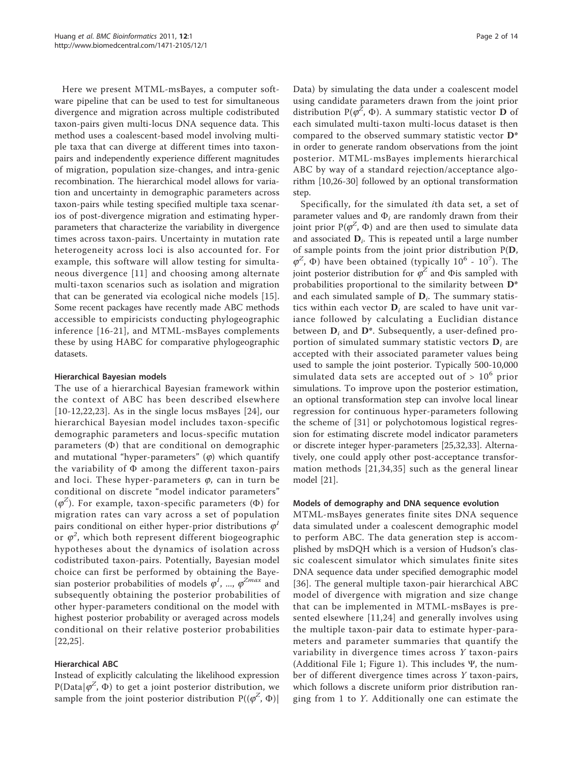Here we present MTML-msBayes, a computer software pipeline that can be used to test for simultaneous divergence and migration across multiple codistributed taxon-pairs given multi-locus DNA sequence data. This method uses a coalescent-based model involving multiple taxa that can diverge at different times into taxonpairs and independently experience different magnitudes of migration, population size-changes, and intra-genic recombination. The hierarchical model allows for variation and uncertainty in demographic parameters across taxon-pairs while testing specified multiple taxa scenarios of post-divergence migration and estimating hyperparameters that characterize the variability in divergence times across taxon-pairs. Uncertainty in mutation rate heterogeneity across loci is also accounted for. For example, this software will allow testing for simultaneous divergence [[11](#page-13-0)] and choosing among alternate multi-taxon scenarios such as isolation and migration that can be generated via ecological niche models [[15](#page-13-0)]. Some recent packages have recently made ABC methods accessible to empiricists conducting phylogeographic inference [[16](#page-13-0)-[21](#page-13-0)], and MTML-msBayes complements these by using HABC for comparative phylogeographic datasets.

# Hierarchical Bayesian models

The use of a hierarchical Bayesian framework within the context of ABC has been described elsewhere  $[10-12,22,23]$  $[10-12,22,23]$  $[10-12,22,23]$  $[10-12,22,23]$  $[10-12,22,23]$  $[10-12,22,23]$ . As in the single locus msBayes  $[24]$  $[24]$  $[24]$ , our hierarchical Bayesian model includes taxon-specific demographic parameters and locus-specific mutation parameters  $(\Phi)$  that are conditional on demographic and mutational "hyper-parameters"  $(\varphi)$  which quantify the variability of  $\Phi$  among the different taxon-pairs and loci. These hyper-parameters  $\varphi$ , can in turn be conditional on discrete "model indicator parameters"  $(\varphi^2)$ . For example, taxon-specific parameters ( $\Phi$ ) for migration rates can vary across a set of population pairs conditional on either hyper-prior distributions  $\varphi$ <sup>1</sup> or  $\varphi^2$ , which both represent different biogeographic hypotheses about the dynamics of isolation across codistributed taxon-pairs. Potentially, Bayesian model choice can first be performed by obtaining the Bayesian posterior probabilities of models  $\varphi^1$ , ...,  $\varphi^{Zmax}$  and subsequently obtaining the posterior probabilities of other hyper-parameters conditional on the model with highest posterior probability or averaged across models conditional on their relative posterior probabilities [[22,25](#page-13-0)].

# Hierarchical ABC

Instead of explicitly calculating the likelihood expression P(Data $|\varphi^Z, \Phi\rangle$  to get a joint posterior distribution, we sample from the joint posterior distribution  $P((\varphi^Z, \Phi))$ 

Data) by simulating the data under a coalescent model using candidate parameters drawn from the joint prior distribution  $P(\varphi^Z, \Phi)$ . A summary statistic vector **D** of each simulated multi-taxon multi-locus dataset is then compared to the observed summary statistic vector D\* in order to generate random observations from the joint posterior. MTML-msBayes implements hierarchical ABC by way of a standard rejection/acceptance algorithm [\[10,26](#page-13-0)-[30\]](#page-13-0) followed by an optional transformation step.

Specifically, for the simulated ith data set, a set of parameter values and  $\Phi_i$  are randomly drawn from their joint prior P( $\varphi^Z$ ,  $\Phi$ ) and are then used to simulate data and associated  $D_i$ . This is repeated until a large number of sample points from the joint prior distribution  $P(D)$ ,  $\varphi^Z$ ,  $\Phi$ ) have been obtained (typically 10<sup>6</sup> - 10<sup>7</sup>). The joint posterior distribution for  $\varphi^Z$  and  $\Phi$ is sampled with probabilities proportional to the similarity between D\* and each simulated sample of  $D_i$ . The summary statistics within each vector  $D_i$  are scaled to have unit variance followed by calculating a Euclidian distance between  $D_i$  and  $D^*$ . Subsequently, a user-defined proportion of simulated summary statistic vectors  $D_i$  are accepted with their associated parameter values being used to sample the joint posterior. Typically 500-10,000 simulated data sets are accepted out of  $> 10^6$  prior simulations. To improve upon the posterior estimation, an optional transformation step can involve local linear regression for continuous hyper-parameters following the scheme of [\[31](#page-13-0)] or polychotomous logistical regression for estimating discrete model indicator parameters or discrete integer hyper-parameters [[25,32,33\]](#page-13-0). Alternatively, one could apply other post-acceptance transformation methods [[21](#page-13-0),[34](#page-13-0),[35\]](#page-13-0) such as the general linear model [\[21](#page-13-0)].

## Models of demography and DNA sequence evolution

MTML-msBayes generates finite sites DNA sequence data simulated under a coalescent demographic model to perform ABC. The data generation step is accomplished by msDQH which is a version of Hudson's classic coalescent simulator which simulates finite sites DNA sequence data under specified demographic model [[36](#page-13-0)]. The general multiple taxon-pair hierarchical ABC model of divergence with migration and size change that can be implemented in MTML-msBayes is presented elsewhere [\[11,24](#page-13-0)] and generally involves using the multiple taxon-pair data to estimate hyper-parameters and parameter summaries that quantify the variability in divergence times across Y taxon-pairs (Additional File 1; Figure [1](#page-3-0)). This includes Ψ, the number of different divergence times across Y taxon-pairs, which follows a discrete uniform prior distribution ranging from 1 to Y. Additionally one can estimate the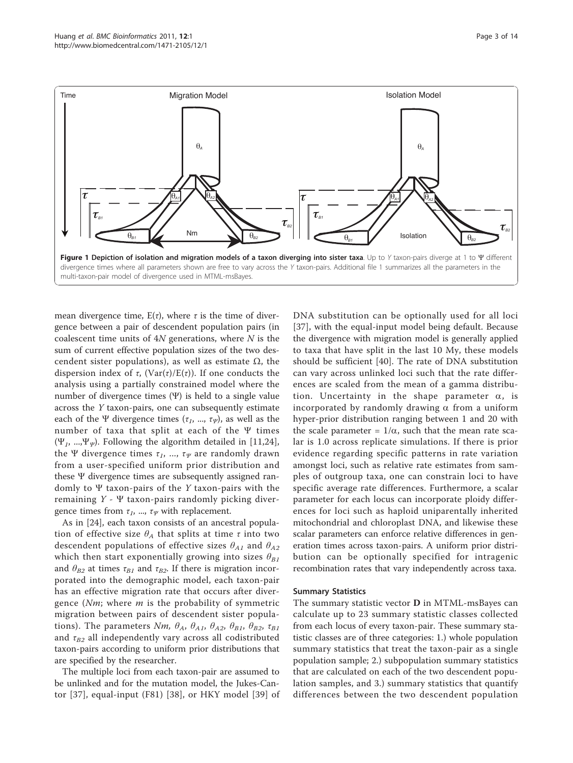<span id="page-3-0"></span>

mean divergence time,  $E(\tau)$ , where  $\tau$  is the time of divergence between a pair of descendent population pairs (in coalescent time units of  $4N$  generations, where  $N$  is the sum of current effective population sizes of the two descendent sister populations), as well as estimate  $Ω$ , the dispersion index of  $\tau$ , (Var( $\tau$ )/E( $\tau$ )). If one conducts the analysis using a partially constrained model where the number of divergence times (Ψ) is held to a single value across the Y taxon-pairs, one can subsequently estimate each of the Ψ divergence times ( $\tau_1$ , ...,  $\tau_\Psi$ ), as well as the number of taxa that split at each of the Ψ times (Ψ<sub>1</sub>, ...,Ψ<sub>Ψ</sub>). Following the algorithm detailed in [[11,24](#page-13-0)], the Ψ divergence times  $\tau_1$ , ...,  $\tau_\Psi$  are randomly drawn from a user-specified uniform prior distribution and these Ψ divergence times are subsequently assigned randomly to  $\Psi$  taxon-pairs of the Y taxon-pairs with the remaining  $Y - \Psi$  taxon-pairs randomly picking divergence times from  $\tau_l$ , ...,  $\tau_{\Psi}$  with replacement.

As in [\[24\]](#page-13-0), each taxon consists of an ancestral population of effective size  $\theta_A$  that splits at time  $\tau$  into two descendent populations of effective sizes  $\theta_{A1}$  and  $\theta_{A2}$ which then start exponentially growing into sizes  $\theta_{B1}$ and  $\theta_{B2}$  at times  $\tau_{B1}$  and  $\tau_{B2}$ . If there is migration incorporated into the demographic model, each taxon-pair has an effective migration rate that occurs after divergence ( $Nm$ ; where  $m$  is the probability of symmetric migration between pairs of descendent sister populations). The parameters Nm,  $\theta_A$ ,  $\theta_{A1}$ ,  $\theta_{A2}$ ,  $\theta_{B1}$ ,  $\theta_{B2}$ ,  $\tau_{B1}$ and  $\tau_{B2}$  all independently vary across all codistributed taxon-pairs according to uniform prior distributions that are specified by the researcher.

The multiple loci from each taxon-pair are assumed to be unlinked and for the mutation model, the Jukes-Cantor [[37](#page-13-0)], equal-input (F81) [\[38\]](#page-13-0), or HKY model [\[39\]](#page-13-0) of DNA substitution can be optionally used for all loci [[37\]](#page-13-0), with the equal-input model being default. Because the divergence with migration model is generally applied to taxa that have split in the last 10 My, these models should be sufficient [[40](#page-13-0)]. The rate of DNA substitution can vary across unlinked loci such that the rate differences are scaled from the mean of a gamma distribution. Uncertainty in the shape parameter  $\alpha$ , is incorporated by randomly drawing  $\alpha$  from a uniform hyper-prior distribution ranging between 1 and 20 with the scale parameter =  $1/\alpha$ , such that the mean rate scalar is 1.0 across replicate simulations. If there is prior evidence regarding specific patterns in rate variation amongst loci, such as relative rate estimates from samples of outgroup taxa, one can constrain loci to have specific average rate differences. Furthermore, a scalar parameter for each locus can incorporate ploidy differences for loci such as haploid uniparentally inherited mitochondrial and chloroplast DNA, and likewise these scalar parameters can enforce relative differences in generation times across taxon-pairs. A uniform prior distribution can be optionally specified for intragenic recombination rates that vary independently across taxa.

#### Summary Statistics

The summary statistic vector D in MTML-msBayes can calculate up to 23 summary statistic classes collected from each locus of every taxon-pair. These summary statistic classes are of three categories: 1.) whole population summary statistics that treat the taxon-pair as a single population sample; 2.) subpopulation summary statistics that are calculated on each of the two descendent population samples, and 3.) summary statistics that quantify differences between the two descendent population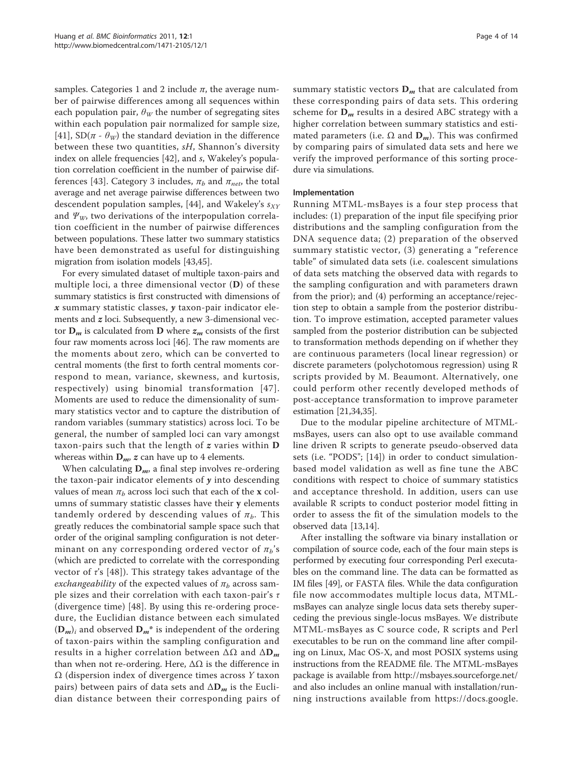samples. Categories 1 and 2 include  $\pi$ , the average number of pairwise differences among all sequences within each population pair,  $\theta_W$  the number of segregating sites within each population pair normalized for sample size, [[41\]](#page-13-0), SD( $\pi$  -  $\theta_W$ ) the standard deviation in the difference between these two quantities, sH, Shannon's diversity index on allele frequencies [\[42](#page-13-0)], and s, Wakeley's population correlation coefficient in the number of pairwise dif-ferences [\[43](#page-13-0)]. Category 3 includes,  $\pi_b$  and  $\pi_{net}$ , the total average and net average pairwise differences between two descendent population samples, [\[44](#page-13-0)], and Wakeley's  $s_{XY}$ and  $\Psi_W$ , two derivations of the interpopulation correlation coefficient in the number of pairwise differences between populations. These latter two summary statistics have been demonstrated as useful for distinguishing migration from isolation models [[43](#page-13-0),[45](#page-13-0)].

For every simulated dataset of multiple taxon-pairs and multiple loci, a three dimensional vector (D) of these summary statistics is first constructed with dimensions of  $x$  summary statistic classes,  $y$  taxon-pair indicator elements and z loci. Subsequently, a new 3-dimensional vector  $D_m$  is calculated from D where  $z_m$  consists of the first four raw moments across loci [[46\]](#page-13-0). The raw moments are the moments about zero, which can be converted to central moments (the first to forth central moments correspond to mean, variance, skewness, and kurtosis, respectively) using binomial transformation [[47\]](#page-13-0). Moments are used to reduce the dimensionality of summary statistics vector and to capture the distribution of random variables (summary statistics) across loci. To be general, the number of sampled loci can vary amongst taxon-pairs such that the length of  $z$  varies within  $D$ whereas within  $D_m$ , z can have up to 4 elements.

When calculating  $D_m$ , a final step involves re-ordering the taxon-pair indicator elements of  $y$  into descending values of mean  $\pi_b$  across loci such that each of the **x** columns of summary statistic classes have their y elements tandemly ordered by descending values of  $\pi_b$ . This greatly reduces the combinatorial sample space such that order of the original sampling configuration is not determinant on any corresponding ordered vector of  $\pi_b$ 's (which are predicted to correlate with the corresponding vector of  $\tau$ 's [[48](#page-13-0)]). This strategy takes advantage of the exchangeability of the expected values of  $\pi_b$  across sample sizes and their correlation with each taxon-pair's  $\tau$ (divergence time) [[48\]](#page-13-0). By using this re-ordering procedure, the Euclidian distance between each simulated  $(D_m)_i$  and observed  $D_m^*$  is independent of the ordering of taxon-pairs within the sampling configuration and results in a higher correlation between  $\Delta\Omega$  and  $\Delta\mathbf{D}_m$ than when not re-ordering. Here,  $\Delta\Omega$  is the difference in  $\Omega$  (dispersion index of divergence times across Y taxon pairs) between pairs of data sets and  $\Delta D_m$  is the Euclidian distance between their corresponding pairs of summary statistic vectors  $D_m$  that are calculated from these corresponding pairs of data sets. This ordering scheme for  $D_m$  results in a desired ABC strategy with a higher correlation between summary statistics and estimated parameters (i.e.  $\Omega$  and  $D_m$ ). This was confirmed by comparing pairs of simulated data sets and here we verify the improved performance of this sorting procedure via simulations.

# Implementation

Running MTML-msBayes is a four step process that includes: (1) preparation of the input file specifying prior distributions and the sampling configuration from the DNA sequence data; (2) preparation of the observed summary statistic vector, (3) generating a "reference table" of simulated data sets (i.e. coalescent simulations of data sets matching the observed data with regards to the sampling configuration and with parameters drawn from the prior); and (4) performing an acceptance/rejection step to obtain a sample from the posterior distribution. To improve estimation, accepted parameter values sampled from the posterior distribution can be subjected to transformation methods depending on if whether they are continuous parameters (local linear regression) or discrete parameters (polychotomous regression) using R scripts provided by M. Beaumont. Alternatively, one could perform other recently developed methods of post-acceptance transformation to improve parameter estimation [\[21,34,35\]](#page-13-0).

Due to the modular pipeline architecture of MTMLmsBayes, users can also opt to use available command line driven R scripts to generate pseudo-observed data sets (i.e. "PODS"; [[14\]](#page-13-0)) in order to conduct simulationbased model validation as well as fine tune the ABC conditions with respect to choice of summary statistics and acceptance threshold. In addition, users can use available R scripts to conduct posterior model fitting in order to assess the fit of the simulation models to the observed data [\[13,14](#page-13-0)].

After installing the software via binary installation or compilation of source code, each of the four main steps is performed by executing four corresponding Perl executables on the command line. The data can be formatted as IM files [\[49\]](#page-13-0), or FASTA files. While the data configuration file now accommodates multiple locus data, MTMLmsBayes can analyze single locus data sets thereby superceding the previous single-locus msBayes. We distribute MTML-msBayes as C source code, R scripts and Perl executables to be run on the command line after compiling on Linux, Mac OS-X, and most POSIX systems using instructions from the README file. The MTML-msBayes package is available from<http://msbayes.sourceforge.net/> and also includes an online manual with installation/running instructions available from [https://docs.google.](https://docs.google.com/Doc?docid=0AVkCIu87W8ooZGNyc3M2ZDhfNDJkZm5zd3dmcg&hl=en)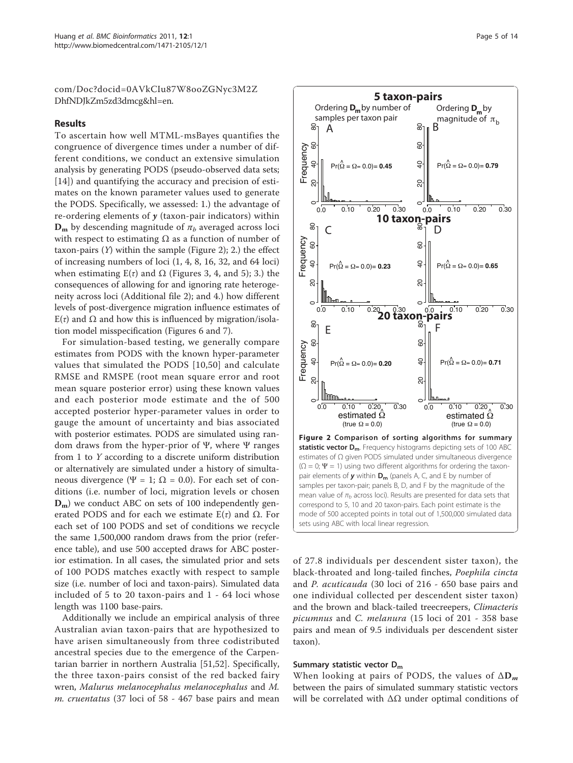<span id="page-5-0"></span>[com/Doc?docid=0AVkCIu87W8ooZGNyc3M2Z](https://docs.google.com/Doc?docid=0AVkCIu87W8ooZGNyc3M2ZDhfNDJkZm5zd3dmcg&hl=en) [DhfNDJkZm5zd3dmcg&hl=en](https://docs.google.com/Doc?docid=0AVkCIu87W8ooZGNyc3M2ZDhfNDJkZm5zd3dmcg&hl=en).

#### Results

To ascertain how well MTML-msBayes quantifies the congruence of divergence times under a number of different conditions, we conduct an extensive simulation analysis by generating PODS (pseudo-observed data sets; [[14\]](#page-13-0)) and quantifying the accuracy and precision of estimates on the known parameter values used to generate the PODS. Specifically, we assessed: 1.) the advantage of re-ordering elements of  $y$  (taxon-pair indicators) within  $D_m$  by descending magnitude of  $\pi_b$  averaged across loci with respect to estimating  $\Omega$  as a function of number of taxon-pairs  $(Y)$  within the sample (Figure 2); 2.) the effect of increasing numbers of loci (1, 4, 8, 16, 32, and 64 loci) when estimating  $E(\tau)$  and  $\Omega$  (Figures [3](#page-6-0), [4](#page-7-0), and [5\)](#page-8-0); 3.) the consequences of allowing for and ignoring rate heterogeneity across loci (Additional file 2); and 4.) how different levels of post-divergence migration influence estimates of E(τ) and  $Ω$  and how this is influenced by migration/isolation model misspecification (Figures [6](#page-9-0) and [7\)](#page-10-0).

For simulation-based testing, we generally compare estimates from PODS with the known hyper-parameter values that simulated the PODS [\[10,50\]](#page-13-0) and calculate RMSE and RMSPE (root mean square error and root mean square posterior error) using these known values and each posterior mode estimate and the of 500 accepted posterior hyper-parameter values in order to gauge the amount of uncertainty and bias associated with posterior estimates. PODS are simulated using random draws from the hyper-prior of Ψ, where Ψ ranges from 1 to Y according to a discrete uniform distribution or alternatively are simulated under a history of simultaneous divergence (Ψ = 1;  $\Omega$  = 0.0). For each set of conditions (i.e. number of loci, migration levels or chosen  $D_m$ ) we conduct ABC on sets of 100 independently generated PODS and for each we estimate  $E(τ)$  and  $Ω$ . For each set of 100 PODS and set of conditions we recycle the same 1,500,000 random draws from the prior (reference table), and use 500 accepted draws for ABC posterior estimation. In all cases, the simulated prior and sets of 100 PODS matches exactly with respect to sample size (i.e. number of loci and taxon-pairs). Simulated data included of 5 to 20 taxon-pairs and 1 - 64 loci whose length was 1100 base-pairs.

Additionally we include an empirical analysis of three Australian avian taxon-pairs that are hypothesized to have arisen simultaneously from three codistributed ancestral species due to the emergence of the Carpentarian barrier in northern Australia [\[51,52](#page-13-0)]. Specifically, the three taxon-pairs consist of the red backed fairy wren, Malurus melanocephalus melanocephalus and M. m. cruentatus (37 loci of 58 - 467 base pairs and mean



of 27.8 individuals per descendent sister taxon), the black-throated and long-tailed finches, Poephila cincta and P. acuticauda (30 loci of 216 - 650 base pairs and one individual collected per descendent sister taxon) and the brown and black-tailed treecreepers, Climacteris picumnus and C. melanura (15 loci of 201 - 358 base pairs and mean of 9.5 individuals per descendent sister taxon).

# Summary statistic vector  $D_m$

When looking at pairs of PODS, the values of  $\Delta D_m$ between the pairs of simulated summary statistic vectors will be correlated with  $\Delta\Omega$  under optimal conditions of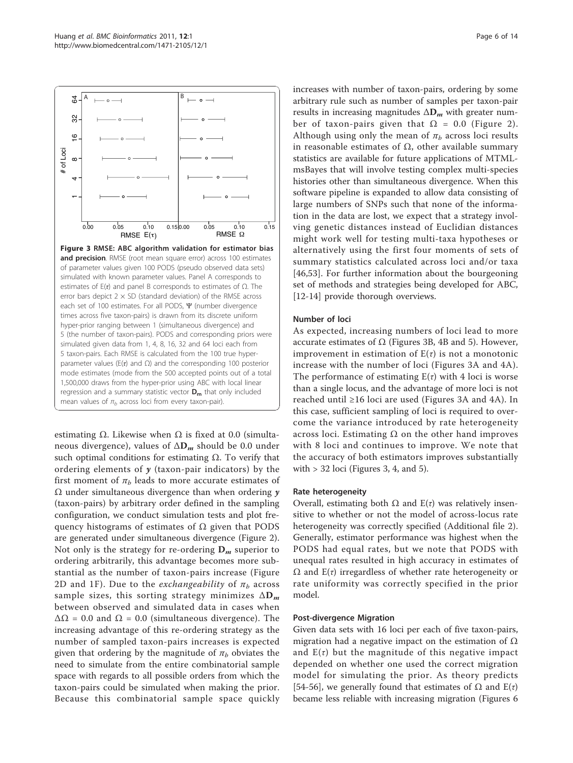Page 6 of 14

<span id="page-6-0"></span>

estimates of  $E(τ)$  and panel B corresponds to estimates of  $Ω$ . The error bars depict  $2 \times SD$  (standard deviation) of the RMSE across each set of 100 estimates. For all PODS, Ψ (number divergence times across five taxon-pairs) is drawn from its discrete uniform hyper-prior ranging between 1 (simultaneous divergence) and 5 (the number of taxon-pairs). PODS and corresponding priors were simulated given data from 1, 4, 8, 16, 32 and 64 loci each from 5 taxon-pairs. Each RMSE is calculated from the 100 true hyperparameter values ( $E(τ)$  and  $Ω$ ) and the corresponding 100 posterior mode estimates (mode from the 500 accepted points out of a total 1,500,000 draws from the hyper-prior using ABC with local linear regression and a summary statistic vector  $D_m$  that only included mean values of  $\pi_b$  across loci from every taxon-pair).

estimating  $Ω$ . Likewise when  $Ω$  is fixed at 0.0 (simultaneous divergence), values of  $\Delta D_m$  should be 0.0 under such optimal conditions for estimating  $\Omega$ . To verify that ordering elements of  $y$  (taxon-pair indicators) by the first moment of  $\pi_b$  leads to more accurate estimates of  $\Omega$  under simultaneous divergence than when ordering  $y$ (taxon-pairs) by arbitrary order defined in the sampling configuration, we conduct simulation tests and plot frequency histograms of estimates of  $\Omega$  given that PODS are generated under simultaneous divergence (Figure [2](#page-5-0)). Not only is the strategy for re-ordering  $D_m$  superior to ordering arbitrarily, this advantage becomes more substantial as the number of taxon-pairs increase (Figure [2D](#page-5-0) and [1F\)](#page-3-0). Due to the *exchangeability* of  $\pi_b$  across sample sizes, this sorting strategy minimizes  $\Delta D_m$ between observed and simulated data in cases when  $\Delta\Omega$  = 0.0 and  $\Omega$  = 0.0 (simultaneous divergence). The increasing advantage of this re-ordering strategy as the number of sampled taxon-pairs increases is expected given that ordering by the magnitude of  $\pi_b$  obviates the need to simulate from the entire combinatorial sample space with regards to all possible orders from which the taxon-pairs could be simulated when making the prior. Because this combinatorial sample space quickly increases with number of taxon-pairs, ordering by some arbitrary rule such as number of samples per taxon-pair results in increasing magnitudes  $\Delta D_m$  with greater number of taxon-pairs given that  $\Omega = 0.0$  (Figure [2\)](#page-5-0). Although using only the mean of  $\pi_b$  across loci results in reasonable estimates of Ω, other available summary statistics are available for future applications of MTMLmsBayes that will involve testing complex multi-species histories other than simultaneous divergence. When this software pipeline is expanded to allow data consisting of large numbers of SNPs such that none of the information in the data are lost, we expect that a strategy involving genetic distances instead of Euclidian distances might work well for testing multi-taxa hypotheses or alternatively using the first four moments of sets of summary statistics calculated across loci and/or taxa [[46,53](#page-13-0)]. For further information about the bourgeoning set of methods and strategies being developed for ABC, [[12-14\]](#page-13-0) provide thorough overviews.

# Number of loci

As expected, increasing numbers of loci lead to more accurate estimates of  $\Omega$  (Figures 3B, [4B](#page-7-0) and [5\)](#page-8-0). However, improvement in estimation of  $E(\tau)$  is not a monotonic increase with the number of loci (Figures 3A and [4A](#page-7-0)). The performance of estimating  $E(\tau)$  with 4 loci is worse than a single locus, and the advantage of more loci is not reached until ≥16 loci are used (Figures 3A and [4A](#page-7-0)). In this case, sufficient sampling of loci is required to overcome the variance introduced by rate heterogeneity across loci. Estimating  $\Omega$  on the other hand improves with 8 loci and continues to improve. We note that the accuracy of both estimators improves substantially with  $>$  32 loci (Figures 3, [4,](#page-7-0) and [5](#page-8-0)).

#### Rate heterogeneity

Overall, estimating both  $Ω$  and  $E(τ)$  was relatively insensitive to whether or not the model of across-locus rate heterogeneity was correctly specified (Additional file 2). Generally, estimator performance was highest when the PODS had equal rates, but we note that PODS with unequal rates resulted in high accuracy in estimates of  $\Omega$  and  $E(\tau)$  irregardless of whether rate heterogeneity or rate uniformity was correctly specified in the prior model.

#### Post-divergence Migration

Given data sets with 16 loci per each of five taxon-pairs, migration had a negative impact on the estimation of  $\Omega$ and  $E(\tau)$  but the magnitude of this negative impact depended on whether one used the correct migration model for simulating the prior. As theory predicts [[54-56](#page-13-0)], we generally found that estimates of  $\Omega$  and  $E(\tau)$ became less reliable with increasing migration (Figures [6](#page-9-0)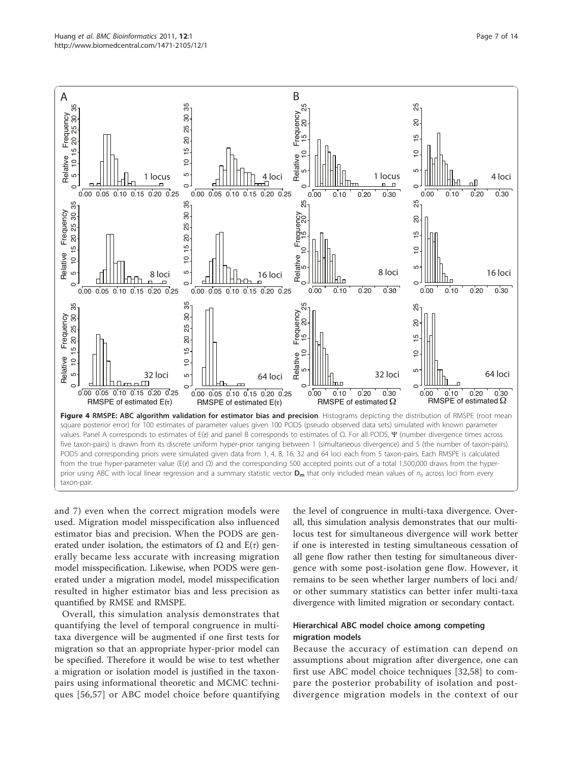<span id="page-7-0"></span>

and [7](#page-10-0)) even when the correct migration models were used. Migration model misspecification also influenced estimator bias and precision. When the PODS are generated under isolation, the estimators of  $\Omega$  and  $E(\tau)$  generally became less accurate with increasing migration model misspecification. Likewise, when PODS were generated under a migration model, model misspecification resulted in higher estimator bias and less precision as quantified by RMSE and RMSPE.

Overall, this simulation analysis demonstrates that quantifying the level of temporal congruence in multitaxa divergence will be augmented if one first tests for migration so that an appropriate hyper-prior model can be specified. Therefore it would be wise to test whether a migration or isolation model is justified in the taxonpairs using informational theoretic and MCMC techniques [\[56,57](#page-13-0)] or ABC model choice before quantifying

the level of congruence in multi-taxa divergence. Overall, this simulation analysis demonstrates that our multilocus test for simultaneous divergence will work better if one is interested in testing simultaneous cessation of all gene flow rather then testing for simultaneous divergence with some post-isolation gene flow. However, it remains to be seen whether larger numbers of loci and/ or other summary statistics can better infer multi-taxa divergence with limited migration or secondary contact.

# Hierarchical ABC model choice among competing migration models

Because the accuracy of estimation can depend on assumptions about migration after divergence, one can first use ABC model choice techniques [\[32](#page-13-0)[,58\]](#page-14-0) to compare the posterior probability of isolation and postdivergence migration models in the context of our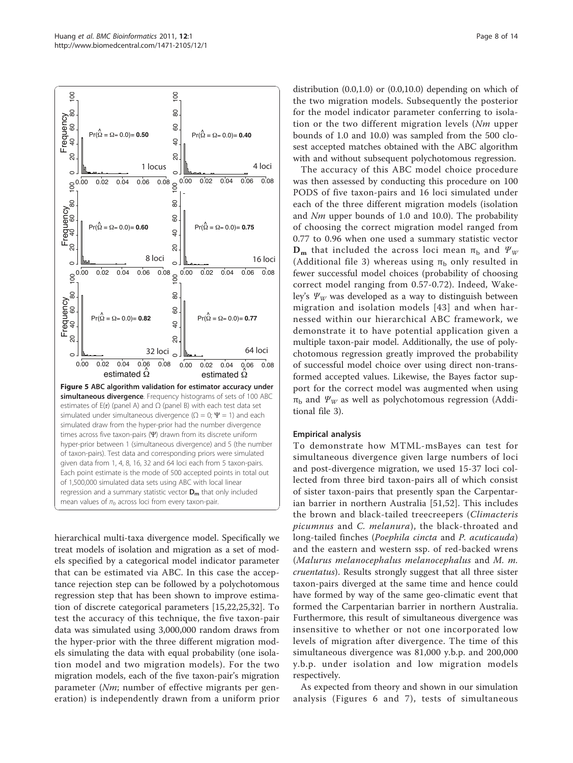hierarchical multi-taxa divergence model. Specifically we treat models of isolation and migration as a set of models specified by a categorical model indicator parameter that can be estimated via ABC. In this case the acceptance rejection step can be followed by a polychotomous regression step that has been shown to improve estimation of discrete categorical parameters [[15,22,25,32\]](#page-13-0). To test the accuracy of this technique, the five taxon-pair data was simulated using 3,000,000 random draws from the hyper-prior with the three different migration models simulating the data with equal probability (one isolation model and two migration models). For the two migration models, each of the five taxon-pair's migration parameter (Nm; number of effective migrants per generation) is independently drawn from a uniform prior

distribution (0.0,1.0) or (0.0,10.0) depending on which of the two migration models. Subsequently the posterior for the model indicator parameter conferring to isolation or the two different migration levels (Nm upper bounds of 1.0 and 10.0) was sampled from the 500 closest accepted matches obtained with the ABC algorithm with and without subsequent polychotomous regression.

The accuracy of this ABC model choice procedure was then assessed by conducting this procedure on 100 PODS of five taxon-pairs and 16 loci simulated under each of the three different migration models (isolation and Nm upper bounds of 1.0 and 10.0). The probability of choosing the correct migration model ranged from 0.77 to 0.96 when one used a summary statistic vector  $D_m$  that included the across loci mean  $\pi_b$  and  $\Psi_W$ (Additional file 3) whereas using  $\pi_b$  only resulted in fewer successful model choices (probability of choosing correct model ranging from 0.57-0.72). Indeed, Wakeley's  $\Psi_W$  was developed as a way to distinguish between migration and isolation models [[43](#page-13-0)] and when harnessed within our hierarchical ABC framework, we demonstrate it to have potential application given a multiple taxon-pair model. Additionally, the use of polychotomous regression greatly improved the probability of successful model choice over using direct non-transformed accepted values. Likewise, the Bayes factor support for the correct model was augmented when using  $π<sub>b</sub>$  and  $Ψ<sub>W</sub>$  as well as polychotomous regression (Additional file 3).

## Empirical analysis

To demonstrate how MTML-msBayes can test for simultaneous divergence given large numbers of loci and post-divergence migration, we used 15-37 loci collected from three bird taxon-pairs all of which consist of sister taxon-pairs that presently span the Carpentarian barrier in northern Australia [\[51](#page-13-0),[52\]](#page-13-0). This includes the brown and black-tailed treecreepers (Climacteris picumnus and C. melanura), the black-throated and long-tailed finches (Poephila cincta and P. acuticauda) and the eastern and western ssp. of red-backed wrens (Malurus melanocephalus melanocephalus and M. m. cruentatus). Results strongly suggest that all three sister taxon-pairs diverged at the same time and hence could have formed by way of the same geo-climatic event that formed the Carpentarian barrier in northern Australia. Furthermore, this result of simultaneous divergence was insensitive to whether or not one incorporated low levels of migration after divergence. The time of this simultaneous divergence was 81,000 y.b.p. and 200,000 y.b.p. under isolation and low migration models respectively.

As expected from theory and shown in our simulation analysis (Figures [6](#page-9-0) and [7](#page-10-0)), tests of simultaneous

<span id="page-8-0"></span>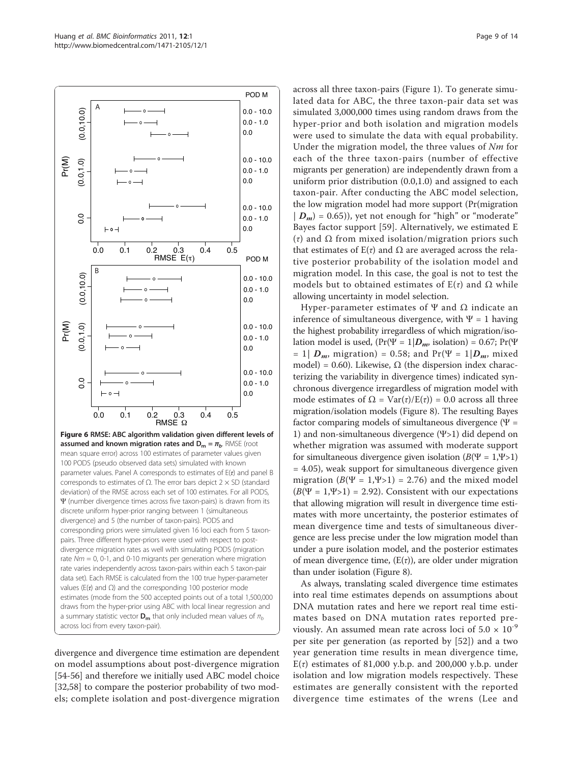0.0 0.1 0.2 0.3 0.4 0.5 RMSE Ω Figure 6 RMSE: ABC algorithm validation given different levels of assumed and known migration rates and  $D_m = \pi_b$ . RMSE (root mean square error) across 100 estimates of parameter values given 100 PODS (pseudo observed data sets) simulated with known parameter values. Panel A corresponds to estimates of  $E(\tau)$  and panel B corresponds to estimates of Ω. The error bars depict 2 × SD (standard deviation) of the RMSE across each set of 100 estimates. For all PODS, Ψ (number divergence times across five taxon-pairs) is drawn from its discrete uniform hyper-prior ranging between 1 (simultaneous divergence) and 5 (the number of taxon-pairs). PODS and corresponding priors were simulated given 16 loci each from 5 taxonpairs. Three different hyper-priors were used with respect to postdivergence migration rates as well with simulating PODS (migration rate  $Nm = 0$ , 0-1, and 0-10 migrants per generation where migration rate varies independently across taxon-pairs within each 5 taxon-pair data set). Each RMSE is calculated from the 100 true hyper-parameter values ( $E(r)$  and  $Ω$ ) and the corresponding 100 posterior mode estimates (mode from the 500 accepted points out of a total 1,500,000 draws from the hyper-prior using ABC with local linear regression and a summary statistic vector  $D_m$  that only included mean values of  $\pi_b$ across loci from every taxon-pair).

divergence and divergence time estimation are dependent on model assumptions about post-divergence migration [[54-56\]](#page-13-0) and therefore we initially used ABC model choice [[32,](#page-13-0)[58\]](#page-14-0) to compare the posterior probability of two models; complete isolation and post-divergence migration across all three taxon-pairs (Figure [1\)](#page-3-0). To generate simulated data for ABC, the three taxon-pair data set was simulated 3,000,000 times using random draws from the hyper-prior and both isolation and migration models were used to simulate the data with equal probability. Under the migration model, the three values of Nm for each of the three taxon-pairs (number of effective migrants per generation) are independently drawn from a uniform prior distribution (0.0,1.0) and assigned to each taxon-pair. After conducting the ABC model selection, the low migration model had more support (Pr(migration  $| D_m$  = 0.65)), yet not enough for "high" or "moderate" Bayes factor support [\[59](#page-14-0)]. Alternatively, we estimated E (τ) and Ω from mixed isolation/migration priors such that estimates of  $E(τ)$  and  $Ω$  are averaged across the relative posterior probability of the isolation model and migration model. In this case, the goal is not to test the models but to obtained estimates of  $E(\tau)$  and  $\Omega$  while allowing uncertainty in model selection.

Hyper-parameter estimates of Ψ and  $Ω$  indicate an inference of simultaneous divergence, with  $\Psi = 1$  having the highest probability irregardless of which migration/isolation model is used,  $(\Pr(\Psi = 1 | D_m)$  isolation) = 0.67;  $\Pr(\Psi)$ = 1|  $D_m$ , migration) = 0.58; and Pr( $\Psi$  = 1| $D_m$ , mixed model) = 0.60). Likewise,  $\Omega$  (the dispersion index characterizing the variability in divergence times) indicated synchronous divergence irregardless of migration model with mode estimates of  $\Omega = \text{Var}(\tau)/E(\tau) = 0.0$  across all three migration/isolation models (Figure [8\)](#page-11-0). The resulting Bayes factor comparing models of simultaneous divergence ( $\Psi$  = 1) and non-simultaneous divergence (Ψ>1) did depend on whether migration was assumed with moderate support for simultaneous divergence given isolation  $(B(\Psi = 1, \Psi > 1))$ = 4.05), weak support for simultaneous divergence given migration  $(B(\Psi = 1, \Psi > 1) = 2.76)$  and the mixed model  $(B(\Psi = 1, \Psi > 1) = 2.92)$ . Consistent with our expectations that allowing migration will result in divergence time estimates with more uncertainty, the posterior estimates of mean divergence time and tests of simultaneous divergence are less precise under the low migration model than under a pure isolation model, and the posterior estimates of mean divergence time,  $(E(\tau))$ , are older under migration than under isolation (Figure [8](#page-11-0)).

As always, translating scaled divergence time estimates into real time estimates depends on assumptions about DNA mutation rates and here we report real time estimates based on DNA mutation rates reported previously. An assumed mean rate across loci of  $5.0 \times 10^{-9}$ per site per generation (as reported by [\[52](#page-13-0)]) and a two year generation time results in mean divergence time,  $E(t)$  estimates of 81,000 y.b.p. and 200,000 y.b.p. under isolation and low migration models respectively. These estimates are generally consistent with the reported divergence time estimates of the wrens (Lee and

<span id="page-9-0"></span>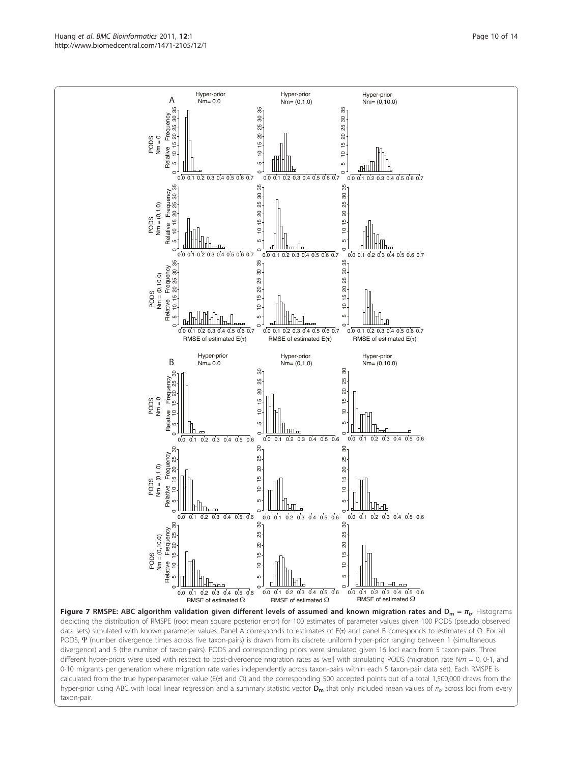<span id="page-10-0"></span>Huang et al. BMC Bioinformatics 2011, 12:1 http://www.biomedcentral.com/1471-2105/12/1



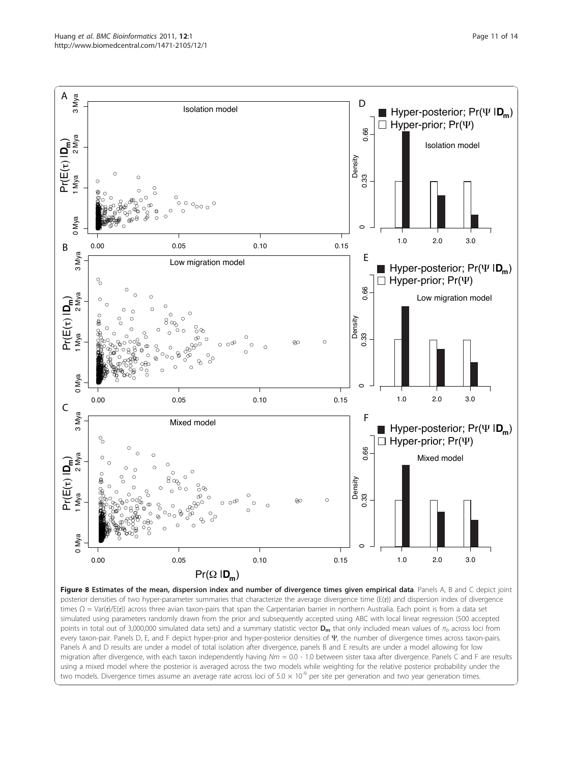<span id="page-11-0"></span>

Figure 8 Estimates of the mean, dispersion index and number of divergence times given empirical data. Panels A, B and C depict joint posterior densities of two hyper-parameter summaries that characterize the average divergence time (E(τ)) and dispersion index of divergence times  $Ω = Var(r)/E(r)$  across three avian taxon-pairs that span the Carpentarian barrier in northern Australia. Each point is from a data set simulated using parameters randomly drawn from the prior and subsequently accepted using ABC with local linear regression (500 accepted points in total out of 3,000,000 simulated data sets) and a summary statistic vector  $D_m$  that only included mean values of  $\pi_b$  across loci from every taxon-pair. Panels D, E, and F depict hyper-prior and hyper-posterior densities of Ψ, the number of divergence times across taxon-pairs. Panels A and D results are under a model of total isolation after divergence, panels B and E results are under a model allowing for low migration after divergence, with each taxon independently having  $Nm = 0.0$  - 1.0 between sister taxa after divergence. Panels C and F are results using a mixed model where the posterior is averaged across the two models while weighting for the relative posterior probability under the two models. Divergence times assume an average rate across loci of  $5.0 \times 10^{-9}$  per site per generation and two year generation times.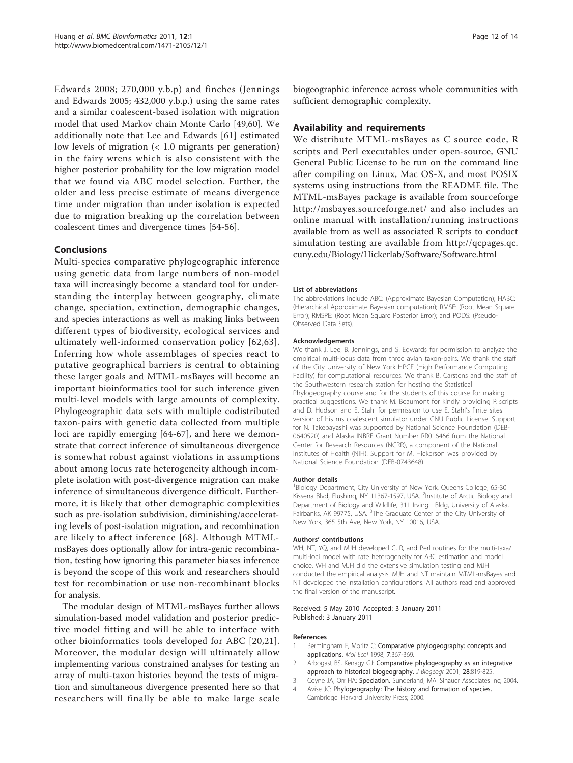<span id="page-12-0"></span>Edwards 2008; 270,000 y.b.p) and finches (Jennings and Edwards 2005; 432,000 y.b.p.) using the same rates and a similar coalescent-based isolation with migration model that used Markov chain Monte Carlo [[49,](#page-13-0)[60\]](#page-14-0). We additionally note that Lee and Edwards [[61\]](#page-14-0) estimated low levels of migration (< 1.0 migrants per generation) in the fairy wrens which is also consistent with the higher posterior probability for the low migration model that we found via ABC model selection. Further, the older and less precise estimate of means divergence time under migration than under isolation is expected due to migration breaking up the correlation between coalescent times and divergence times [\[54-56](#page-13-0)].

# Conclusions

Multi-species comparative phylogeographic inference using genetic data from large numbers of non-model taxa will increasingly become a standard tool for understanding the interplay between geography, climate change, speciation, extinction, demographic changes, and species interactions as well as making links between different types of biodiversity, ecological services and ultimately well-informed conservation policy [[62](#page-14-0),[63\]](#page-14-0). Inferring how whole assemblages of species react to putative geographical barriers is central to obtaining these larger goals and MTML-msBayes will become an important bioinformatics tool for such inference given multi-level models with large amounts of complexity. Phylogeographic data sets with multiple codistributed taxon-pairs with genetic data collected from multiple loci are rapidly emerging [[64-67\]](#page-14-0), and here we demonstrate that correct inference of simultaneous divergence is somewhat robust against violations in assumptions about among locus rate heterogeneity although incomplete isolation with post-divergence migration can make inference of simultaneous divergence difficult. Furthermore, it is likely that other demographic complexities such as pre-isolation subdivision, diminishing/accelerating levels of post-isolation migration, and recombination are likely to affect inference [[68](#page-14-0)]. Although MTMLmsBayes does optionally allow for intra-genic recombination, testing how ignoring this parameter biases inference is beyond the scope of this work and researchers should test for recombination or use non-recombinant blocks for analysis.

The modular design of MTML-msBayes further allows simulation-based model validation and posterior predictive model fitting and will be able to interface with other bioinformatics tools developed for ABC [[20](#page-13-0),[21](#page-13-0)]. Moreover, the modular design will ultimately allow implementing various constrained analyses for testing an array of multi-taxon histories beyond the tests of migration and simultaneous divergence presented here so that researchers will finally be able to make large scale

biogeographic inference across whole communities with sufficient demographic complexity.

# Availability and requirements

We distribute MTML-msBayes as C source code, R scripts and Perl executables under open-source, GNU General Public License to be run on the command line after compiling on Linux, Mac OS-X, and most POSIX systems using instructions from the README file. The MTML-msBayes package is available from sourceforge <http://msbayes.sourceforge.net/> and also includes an online manual with installation/running instructions available from as well as associated R scripts to conduct simulation testing are available from [http://qcpages.qc.](http://qcpages.qc.cuny.edu/Biology/Hickerlab/Software/Software.html) [cuny.edu/Biology/Hickerlab/Software/Software.html](http://qcpages.qc.cuny.edu/Biology/Hickerlab/Software/Software.html)

#### List of abbreviations

The abbreviations include ABC: (Approximate Bayesian Computation); HABC: (Hierarchical Approximate Bayesian computation); RMSE: (Root Mean Square Error); RMSPE: (Root Mean Square Posterior Error); and PODS: (Pseudo-Observed Data Sets).

#### Acknowledgements

We thank J. Lee, B. Jennings, and S. Edwards for permission to analyze the empirical multi-locus data from three avian taxon-pairs. We thank the staff of the City University of New York HPCF (High Performance Computing Facility) for computational resources. We thank B. Carstens and the staff of the Southwestern research station for hosting the Statistical Phylogeography course and for the students of this course for making practical suggestions. We thank M. Beaumont for kindly providing R scripts and D. Hudson and E. Stahl for permission to use E. Stahl's finite sites version of his ms coalescent simulator under GNU Public License. Support for N. Takebayashi was supported by National Science Foundation (DEB-0640520) and Alaska INBRE Grant Number RR016466 from the National Center for Research Resources (NCRR), a component of the National Institutes of Health (NIH). Support for M. Hickerson was provided by National Science Foundation (DEB-0743648).

#### Author details

<sup>1</sup> Biology Department, City University of New York, Queens College, 65-30 Kissena Blvd, Flushing, NY 11367-1597, USA. <sup>2</sup>Institute of Arctic Biology and Department of Biology and Wildlife, 311 Irving I Bldg, University of Alaska, Fairbanks, AK 99775, USA. <sup>3</sup>The Graduate Center of the City University of New York, 365 5th Ave, New York, NY 10016, USA.

#### Authors' contributions

WH, NT, YQ, and MJH developed C, R, and Perl routines for the multi-taxa/ multi-loci model with rate heterogeneity for ABC estimation and model choice. WH and MJH did the extensive simulation testing and MJH conducted the empirical analysis. MJH and NT maintain MTML-msBayes and NT developed the installation configurations. All authors read and approved the final version of the manuscript.

#### Received: 5 May 2010 Accepted: 3 January 2011 Published: 3 January 2011

#### References

- 1. Bermingham E, Moritz C: Comparative phylogeography: concepts and applications. Mol Ecol 1998, 7:367-369.
- 2. Arbogast BS, Kenagy GJ: Comparative phylogeography as an integrative approach to historical biogeography. J Biogeogr 2001, 28:819-825.
- 3. Coyne JA, Orr HA: Speciation. Sunderland, MA: Sinauer Associates Inc; 2004. 4. Avise JC: Phylogeography: The history and formation of species. Cambridge: Harvard University Press; 2000.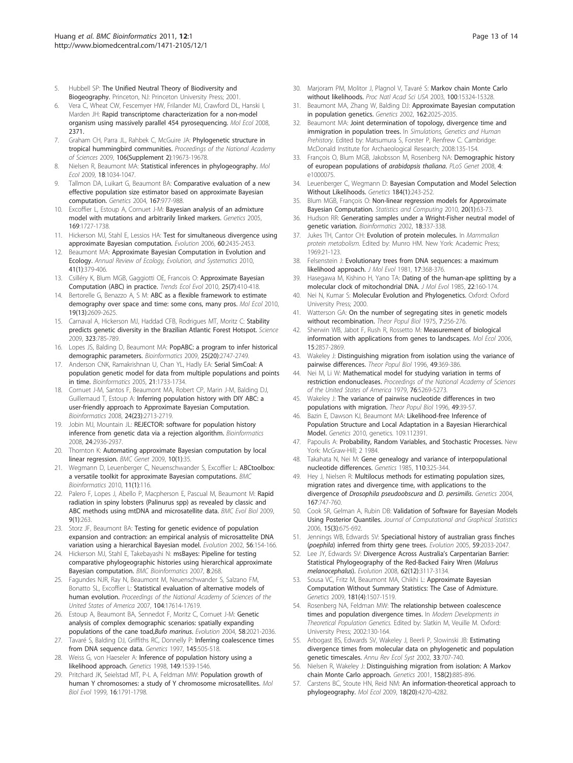- <span id="page-13-0"></span>5. Hubbell SP: The Unified Neutral Theory of Biodiversity and Biogeography. Princeton, NJ: Princeton University Press; 2001.
- Vera C, Wheat CW, Fescemyer HW, Frilander MJ, Crawford DL, Hanski I, Marden JH: Rapid transcriptome characterization for a non-model organism using massively parallel 454 pyrosequencing. Mol Ecol 2008, 2371.
- 7. Graham CH, Parra JL, Rahbek C, McGuire JA: Phylogenetic structure in tropical hummingbird communities. Proceedings of the National Academy of Sciences 2009, 106(Supplement 2):19673-19678.
- 8. Nielsen R, Beaumont MA: [Statistical inferences in phylogeography.](http://www.ncbi.nlm.nih.gov/pubmed/19207258?dopt=Abstract) Mol Ecol 2009, 18:1034-1047.
- 9. Tallmon DA, Luikart G, Beaumont BA: [Comparative evaluation of a new](http://www.ncbi.nlm.nih.gov/pubmed/15238546?dopt=Abstract) [effective population size estimator based on approximate Bayesian](http://www.ncbi.nlm.nih.gov/pubmed/15238546?dopt=Abstract) [computation.](http://www.ncbi.nlm.nih.gov/pubmed/15238546?dopt=Abstract) Genetics 2004, 167:977-988.
- 10. Excoffier L, Estoup A, Cornuet J-M: [Bayesian analysis of an admixture](http://www.ncbi.nlm.nih.gov/pubmed/15654099?dopt=Abstract) [model with mutations and arbitrarily linked markers.](http://www.ncbi.nlm.nih.gov/pubmed/15654099?dopt=Abstract) Genetics 2005, 169:1727-1738.
- 11. Hickerson MJ, Stahl E, Lessios HA: [Test for simultaneous divergence using](http://www.ncbi.nlm.nih.gov/pubmed/17263107?dopt=Abstract) [approximate Bayesian computation.](http://www.ncbi.nlm.nih.gov/pubmed/17263107?dopt=Abstract) Evolution 2006, 60:2435-2453.
- 12. Beaumont MA: Approximate Bayesian Computation in Evolution and Ecology. Annual Review of Ecology, Evolution, and Systematics 2010, 41(1):379-406.
- 13. Csilléry K, Blum MGB, Gaggiotti OE, Francois O: [Approximate Bayesian](http://www.ncbi.nlm.nih.gov/pubmed/20488578?dopt=Abstract) [Computation \(ABC\) in practice.](http://www.ncbi.nlm.nih.gov/pubmed/20488578?dopt=Abstract) Trends Ecol Evol 2010, 25(7):410-418.
- 14. Bertorelle G, Benazzo A, S M: [ABC as a flexible framework to estimate](http://www.ncbi.nlm.nih.gov/pubmed/20561199?dopt=Abstract) [demography over space and time: some cons, many pros.](http://www.ncbi.nlm.nih.gov/pubmed/20561199?dopt=Abstract) Mol Ecol 2010, 19(13):2609-2625.
- 15. Carnaval A, Hickerson MJ, Haddad CFB, Rodrigues MT, Moritz C: [Stability](http://www.ncbi.nlm.nih.gov/pubmed/19197066?dopt=Abstract) [predicts genetic diversity in the Brazilian Atlantic Forest Hotspot.](http://www.ncbi.nlm.nih.gov/pubmed/19197066?dopt=Abstract) Science 2009, 323:785-789.
- 16. Lopes JS, Balding D, Beaumont MA: [PopABC: a program to infer historical](http://www.ncbi.nlm.nih.gov/pubmed/19679678?dopt=Abstract) [demographic parameters.](http://www.ncbi.nlm.nih.gov/pubmed/19679678?dopt=Abstract) Bioinformatics 2009, 25(20):2747-2749.
- 17. Anderson CNK, Ramakrishnan U, Chan YL, Hadly EA: [Serial SimCoal: A](http://www.ncbi.nlm.nih.gov/pubmed/15564305?dopt=Abstract) [population genetic model for data from multiple populations and points](http://www.ncbi.nlm.nih.gov/pubmed/15564305?dopt=Abstract) [in time.](http://www.ncbi.nlm.nih.gov/pubmed/15564305?dopt=Abstract) Bioinformatics 2005, 21:1733-1734.
- 18. Cornuet J-M, Santos F, Beaumont MA, Robert CP, Marin J-M, Balding DJ, Guillemaud T, Estoup A: [Inferring population history with DIY ABC: a](http://www.ncbi.nlm.nih.gov/pubmed/18842597?dopt=Abstract) [user-friendly approach to Approximate Bayesian Computation.](http://www.ncbi.nlm.nih.gov/pubmed/18842597?dopt=Abstract) Bioinformatics 2008, 24(23):2713-2719.
- 19. Jobin MJ, Mountain JL: [REJECTOR: software for population history](http://www.ncbi.nlm.nih.gov/pubmed/18936052?dopt=Abstract) [inference from genetic data via a rejection algorithm.](http://www.ncbi.nlm.nih.gov/pubmed/18936052?dopt=Abstract) Bioinformatics 2008, 24:2936-2937.
- 20. Thornton K: [Automating approximate Bayesian computation by local](http://www.ncbi.nlm.nih.gov/pubmed/19583871?dopt=Abstract) [linear regression.](http://www.ncbi.nlm.nih.gov/pubmed/19583871?dopt=Abstract) BMC Genet 2009, 10(1):35.
- 21. Wegmann D, Leuenberger C, Neuenschwander S, Excoffier L: [ABCtoolbox:](http://www.ncbi.nlm.nih.gov/pubmed/20202215?dopt=Abstract) [a versatile toolkit for approximate Bayesian computations.](http://www.ncbi.nlm.nih.gov/pubmed/20202215?dopt=Abstract) BMC Bioinformatics 2010, 11(1):116.
- 22. Palero F, Lopes J, Abello P, Macpherson E, Pascual M, Beaumont M: [Rapid](http://www.ncbi.nlm.nih.gov/pubmed/19900277?dopt=Abstract) [radiation in spiny lobsters \(Palinurus spp\) as revealed by classic and](http://www.ncbi.nlm.nih.gov/pubmed/19900277?dopt=Abstract) [ABC methods using mtDNA and microsatellite data.](http://www.ncbi.nlm.nih.gov/pubmed/19900277?dopt=Abstract) BMC Evol Biol 2009, 9(1):263.
- 23. Storz JF, Beaumont BA: [Testing for genetic evidence of population](http://www.ncbi.nlm.nih.gov/pubmed/11913661?dopt=Abstract) [expansion and contraction: an empirical analysis of microsattelite DNA](http://www.ncbi.nlm.nih.gov/pubmed/11913661?dopt=Abstract) [variation using a hierarchical Bayesian model.](http://www.ncbi.nlm.nih.gov/pubmed/11913661?dopt=Abstract) Evolution 2002, 56:154-166.
- 24. Hickerson MJ, Stahl E, Takebayashi N: [msBayes: Pipeline for testing](http://www.ncbi.nlm.nih.gov/pubmed/17655753?dopt=Abstract) [comparative phylogeographic histories using hierarchical approximate](http://www.ncbi.nlm.nih.gov/pubmed/17655753?dopt=Abstract) [Bayesian computation.](http://www.ncbi.nlm.nih.gov/pubmed/17655753?dopt=Abstract) BMC Bioinformatics 2007, 8:268.
- 25. Fagundes NJR, Ray N, Beaumont M, Neuenschwander S, Salzano FM, Bonatto SL, Excoffier L: [Statistical evaluation of alternative models of](http://www.ncbi.nlm.nih.gov/pubmed/17978179?dopt=Abstract) [human evolution.](http://www.ncbi.nlm.nih.gov/pubmed/17978179?dopt=Abstract) Proceedings of the National Academy of Sciences of the United States of America 2007, 104:17614-17619.
- 26. Estoup A, Beaumont BA, Sennedot F, Moritz C, Cornuet J-M: [Genetic](http://www.ncbi.nlm.nih.gov/pubmed/15521459?dopt=Abstract) [analysis of complex demographic scenarios: spatially expanding](http://www.ncbi.nlm.nih.gov/pubmed/15521459?dopt=Abstract) [populations of the cane toad,](http://www.ncbi.nlm.nih.gov/pubmed/15521459?dopt=Abstract) Bufo marinus. Evolution 2004, 58:2021-2036.
- 27. Tavaré S, Balding DJ, Griffiths RC, Donnelly P: [Inferring coalescence times](http://www.ncbi.nlm.nih.gov/pubmed/9071603?dopt=Abstract) [from DNA sequence data.](http://www.ncbi.nlm.nih.gov/pubmed/9071603?dopt=Abstract) Genetics 1997, 145:505-518.
- 28. Weiss G, von Haeseler A: [Inference of population history using a](http://www.ncbi.nlm.nih.gov/pubmed/9649540?dopt=Abstract) [likelihood approach.](http://www.ncbi.nlm.nih.gov/pubmed/9649540?dopt=Abstract) Genetics 1998, 149:1539-1546.
- 29. Pritchard JK, Seielstad MT, P-L A, Feldman MW: [Population growth of](http://www.ncbi.nlm.nih.gov/pubmed/10605120?dopt=Abstract) [human Y chromosomes: a study of Y chromosome microsatellites.](http://www.ncbi.nlm.nih.gov/pubmed/10605120?dopt=Abstract) Mol Biol Evol 1999, 16:1791-1798.
- 30. Marioram PM, Molitor J, Plagnol V, Tavaré S: [Markov chain Monte Carlo](http://www.ncbi.nlm.nih.gov/pubmed/14663152?dopt=Abstract) [without likelihoods.](http://www.ncbi.nlm.nih.gov/pubmed/14663152?dopt=Abstract) Proc Natl Acad Sci USA 2003, 100:15324-15328.
- 31. Beaumont MA, Zhang W, Balding DJ: [Approximate Bayesian computation](http://www.ncbi.nlm.nih.gov/pubmed/12524368?dopt=Abstract) [in population genetics.](http://www.ncbi.nlm.nih.gov/pubmed/12524368?dopt=Abstract) Genetics 2002, 162:2025-2035.
- 32. Beaumont MA: Joint determination of topology, divergence time and immigration in population trees. In Simulations, Genetics and Human Prehistory. Edited by: Matsumura S, Forster P, Renfrew C. Cambridge: McDonald Institute for Archaeological Research; 2008:135-154.
- 33. François O, Blum MGB, Jakobsson M, Rosenberg NA: [Demographic history](http://www.ncbi.nlm.nih.gov/pubmed/18483550?dopt=Abstract) [of european populations of](http://www.ncbi.nlm.nih.gov/pubmed/18483550?dopt=Abstract) arabidopsis thaliana. PLoS Genet 2008, 4: e1000075.
- 34. Leuenberger C, Wegmann D: [Bayesian Computation and Model Selection](http://www.ncbi.nlm.nih.gov/pubmed/19786619?dopt=Abstract) [Without Likelihoods.](http://www.ncbi.nlm.nih.gov/pubmed/19786619?dopt=Abstract) Genetics 184(1):243-252.
- Blum MGB, François O: Non-linear regression models for Approximate Bayesian Computation. Statistics and Computing 2010, 20(1):63-73.
- Hudson RR: [Generating samples under a Wright-Fisher neutral model of](http://www.ncbi.nlm.nih.gov/pubmed/11847089?dopt=Abstract) [genetic variation.](http://www.ncbi.nlm.nih.gov/pubmed/11847089?dopt=Abstract) Bioinformatics 2002, 18:337-338.
- 37. Jukes TH, Cantor CH: Evolution of protein molecules. In Mammalian protein metabolism. Edited by: Munro HM. New York: Academic Press; 1969:21-123.
- 38. Felsenstein J: [Evolutionary trees from DNA sequences: a maximum](http://www.ncbi.nlm.nih.gov/pubmed/7288891?dopt=Abstract) [likelihood approach.](http://www.ncbi.nlm.nih.gov/pubmed/7288891?dopt=Abstract) J Mol Evol 1981, 17:368-376.
- 39. Hasegawa M, Kishino H, Yano TA: [Dating of the human-ape splitting by a](http://www.ncbi.nlm.nih.gov/pubmed/3934395?dopt=Abstract) [molecular clock of mitochondrial DNA.](http://www.ncbi.nlm.nih.gov/pubmed/3934395?dopt=Abstract) J Mol Evol 1985, 22:160-174.
- 40. Nei N, Kumar S: Molecular Evolution and Phylogenetics. Oxford: Oxford University Press; 2000.
- 41. Watterson GA: [On the number of segregating sites in genetic models](http://www.ncbi.nlm.nih.gov/pubmed/1145509?dopt=Abstract) [without recombination.](http://www.ncbi.nlm.nih.gov/pubmed/1145509?dopt=Abstract) Theor Popul Biol 1975, 7:256-276.
- 42. Sherwin WB, Jabot F, Rush R, Rossetto M: [Measurement of biological](http://www.ncbi.nlm.nih.gov/pubmed/16911206?dopt=Abstract) [information with applications from genes to landscapes.](http://www.ncbi.nlm.nih.gov/pubmed/16911206?dopt=Abstract) Mol Ecol 2006, 15:2857-2869.
- 43. Wakeley J: [Distinguishing migration from isolation using the variance of](http://www.ncbi.nlm.nih.gov/pubmed/8693431?dopt=Abstract) [pairwise differences.](http://www.ncbi.nlm.nih.gov/pubmed/8693431?dopt=Abstract) Theor Popul Biol 1996, 49:369-386.
- 44. Nei M, Li W: [Mathematical model for studying variation in terms of](http://www.ncbi.nlm.nih.gov/pubmed/291943?dopt=Abstract) [restriction endonucleases.](http://www.ncbi.nlm.nih.gov/pubmed/291943?dopt=Abstract) Proceedings of the National Academy of Sciences of the United States of America 1979, 76:5269-5273.
- 45. Wakeley J: [The variance of pairwise nucleotide differences in two](http://www.ncbi.nlm.nih.gov/pubmed/8813013?dopt=Abstract) [populations with migration.](http://www.ncbi.nlm.nih.gov/pubmed/8813013?dopt=Abstract) Theor Popul Biol 1996, 49:39-57.
- 46. Bazin E, Dawson KJ, Beaumont MA: [Likelihood-free Inference of](http://www.ncbi.nlm.nih.gov/pubmed/20382835?dopt=Abstract) [Population Structure and Local Adaptation in a Bayesian Hierarchical](http://www.ncbi.nlm.nih.gov/pubmed/20382835?dopt=Abstract) [Model.](http://www.ncbi.nlm.nih.gov/pubmed/20382835?dopt=Abstract) Genetics 2010, genetics. 109.112391.
- 47. Papoulis A: Probability, Random Variables, and Stochastic Processes. New York: McGraw-Hill; 2 1984.
- 48. Takahata N, Nei M: [Gene genealogy and variance of interpopulational](http://www.ncbi.nlm.nih.gov/pubmed/4007484?dopt=Abstract) [nucleotide differences.](http://www.ncbi.nlm.nih.gov/pubmed/4007484?dopt=Abstract) Genetics 1985, 110:325-344.
- 49. Hey J, Nielsen R: [Multilocus methods for estimating population sizes,](http://www.ncbi.nlm.nih.gov/pubmed/15238526?dopt=Abstract) [migration rates and divergence time, with applications to the](http://www.ncbi.nlm.nih.gov/pubmed/15238526?dopt=Abstract) divergence of [Drosophila pseudoobscura](http://www.ncbi.nlm.nih.gov/pubmed/15238526?dopt=Abstract) and D. persimilis. Genetics 2004, 167:747-760.
- 50. Cook SR, Gelman A, Rubin DB: Validation of Software for Bayesian Models Using Posterior Quantiles. Journal of Computational and Graphical Statistics 2006, 15(3):675-692.
- 51. Jennings WB, Edwards SV: [Speciational history of australian grass finches](http://www.ncbi.nlm.nih.gov/pubmed/16261740?dopt=Abstract) (poephila[\) inferred from thirty gene trees.](http://www.ncbi.nlm.nih.gov/pubmed/16261740?dopt=Abstract) Evolution 2005, 59:2033-2047.
- 52. Lee JY, Edwards SV: [Divergence Across Australia](http://www.ncbi.nlm.nih.gov/pubmed/19087188?dopt=Abstract)'s Carpentarian Barrier: [Statistical Phylogeography of the Red-Backed Fairy Wren \(](http://www.ncbi.nlm.nih.gov/pubmed/19087188?dopt=Abstract)Malurus [melanocephalus](http://www.ncbi.nlm.nih.gov/pubmed/19087188?dopt=Abstract)). Evolution 2008, 62(12):3117-3134.
- Sousa VC, Fritz M, Beaumont MA, Chikhi L: [Approximate Bayesian](http://www.ncbi.nlm.nih.gov/pubmed/19189952?dopt=Abstract) [Computation Without Summary Statistics: The Case of Admixture.](http://www.ncbi.nlm.nih.gov/pubmed/19189952?dopt=Abstract) Genetics 2009, 181(4):1507-1519.
- 54. Rosenberg NA, Feldman MW: The relationship between coalescence times and population divergence times. In Modern Developments in Theoretical Population Genetics. Edited by: Slatkin M, Veuille M. Oxford: University Press; 2002:130-164.
- 55. Arbogast BS, Edwards SV, Wakeley J, Beerli P, Slowinski JB: Estimating divergence times from molecular data on phylogenetic and population genetic timescales. Annu Rev Ecol Syst 2002, 33:707-740.
- Nielsen R, Wakeley J: [Distinguishing migration from isolation: A Markov](http://www.ncbi.nlm.nih.gov/pubmed/11404349?dopt=Abstract) [chain Monte Carlo approach.](http://www.ncbi.nlm.nih.gov/pubmed/11404349?dopt=Abstract) Genetics 2001, 158(2):885-896.
- 57. Carstens BC, Stoute HN, Reid NM: [An information-theoretical approach to](http://www.ncbi.nlm.nih.gov/pubmed/19765225?dopt=Abstract) [phylogeography.](http://www.ncbi.nlm.nih.gov/pubmed/19765225?dopt=Abstract) Mol Ecol 2009, 18(20):4270-4282.